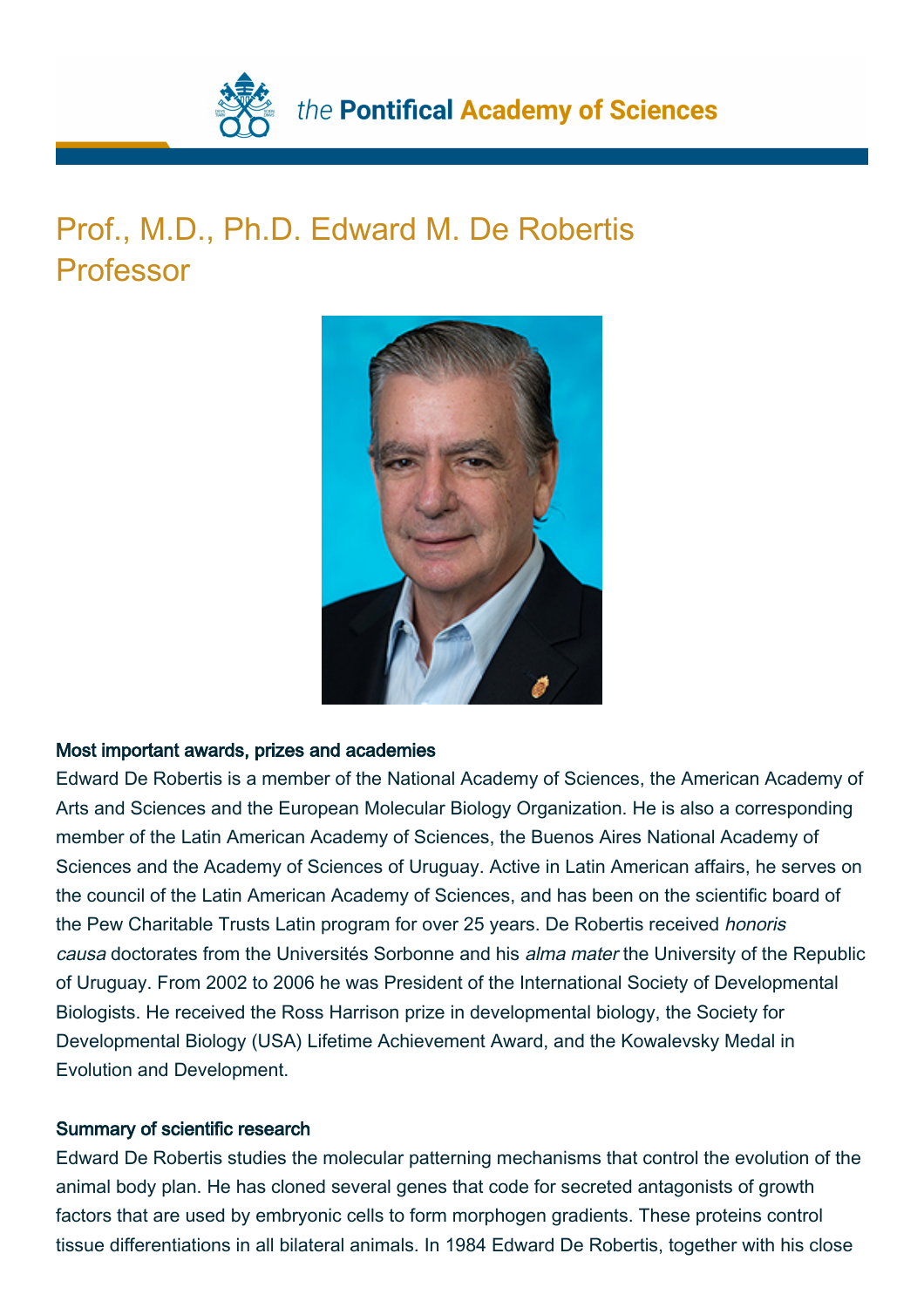

## Prof., M.D., Ph.D. Edward M. De Robertis Professor



## Most important awards, prizes and academies

Edward De Robertis is a member of the National Academy of Sciences, the American Academy of Arts and Sciences and the European Molecular Biology Organization. He is also a corresponding member of the Latin American Academy of Sciences, the Buenos Aires National Academy of Sciences and the Academy of Sciences of Uruguay. Active in Latin American affairs, he serves on the council of the Latin American Academy of Sciences, and has been on the scientific board of the Pew Charitable Trusts Latin program for over 25 years. De Robertis received honoris causa doctorates from the Universités Sorbonne and his alma mater the University of the Republic of Uruguay. From 2002 to 2006 he was President of the International Society of Developmental Biologists. He received the Ross Harrison prize in developmental biology, the Society for Developmental Biology (USA) Lifetime Achievement Award, and the Kowalevsky Medal in Evolution and Development.

## Summary of scientific research

Edward De Robertis studies the molecular patterning mechanisms that control the evolution of the animal body plan. He has cloned several genes that code for secreted antagonists of growth factors that are used by embryonic cells to form morphogen gradients. These proteins control tissue differentiations in all bilateral animals. In 1984 Edward De Robertis, together with his close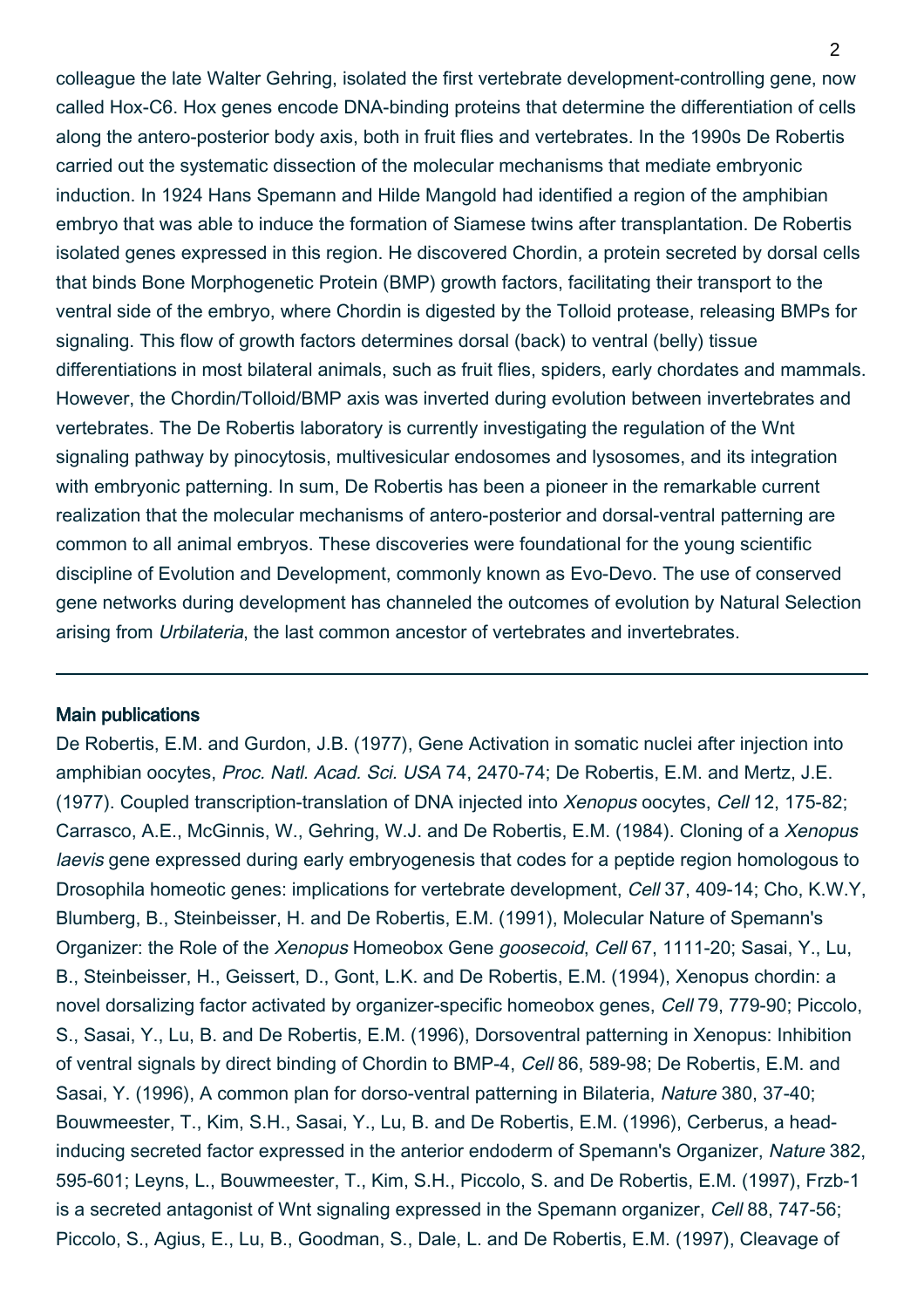colleague the late Walter Gehring, isolated the first vertebrate development-controlling gene, now called Hox-C6. Hox genes encode DNA-binding proteins that determine the differentiation of cells along the antero-posterior body axis, both in fruit flies and vertebrates. In the 1990s De Robertis carried out the systematic dissection of the molecular mechanisms that mediate embryonic induction. In 1924 Hans Spemann and Hilde Mangold had identified a region of the amphibian embryo that was able to induce the formation of Siamese twins after transplantation. De Robertis isolated genes expressed in this region. He discovered Chordin, a protein secreted by dorsal cells that binds Bone Morphogenetic Protein (BMP) growth factors, facilitating their transport to the ventral side of the embryo, where Chordin is digested by the Tolloid protease, releasing BMPs for signaling. This flow of growth factors determines dorsal (back) to ventral (belly) tissue differentiations in most bilateral animals, such as fruit flies, spiders, early chordates and mammals. However, the Chordin/Tolloid/BMP axis was inverted during evolution between invertebrates and vertebrates. The De Robertis laboratory is currently investigating the regulation of the Wnt signaling pathway by pinocytosis, multivesicular endosomes and lysosomes, and its integration with embryonic patterning. In sum, De Robertis has been a pioneer in the remarkable current realization that the molecular mechanisms of antero-posterior and dorsal-ventral patterning are common to all animal embryos. These discoveries were foundational for the young scientific discipline of Evolution and Development, commonly known as Evo-Devo. The use of conserved gene networks during development has channeled the outcomes of evolution by Natural Selection arising from Urbilateria, the last common ancestor of vertebrates and invertebrates.

## Main publications

De Robertis, E.M. and Gurdon, J.B. (1977), Gene Activation in somatic nuclei after injection into amphibian oocytes, Proc. Natl. Acad. Sci. USA 74, 2470-74; De Robertis, E.M. and Mertz, J.E. (1977). Coupled transcription-translation of DNA injected into Xenopus oocytes, Cell 12, 175-82; Carrasco, A.E., McGinnis, W., Gehring, W.J. and De Robertis, E.M. (1984). Cloning of a Xenopus laevis gene expressed during early embryogenesis that codes for a peptide region homologous to Drosophila homeotic genes: implications for vertebrate development, Cell 37, 409-14; Cho, K.W.Y, Blumberg, B., Steinbeisser, H. and De Robertis, E.M. (1991), Molecular Nature of Spemann's Organizer: the Role of the Xenopus Homeobox Gene goosecoid, Cell 67, 1111-20; Sasai, Y., Lu, B., Steinbeisser, H., Geissert, D., Gont, L.K. and De Robertis, E.M. (1994), Xenopus chordin: a novel dorsalizing factor activated by organizer-specific homeobox genes, Cell 79, 779-90; Piccolo, S., Sasai, Y., Lu, B. and De Robertis, E.M. (1996), Dorsoventral patterning in Xenopus: Inhibition of ventral signals by direct binding of Chordin to BMP-4, Cell 86, 589-98; De Robertis, E.M. and Sasai, Y. (1996), A common plan for dorso-ventral patterning in Bilateria, Nature 380, 37-40; Bouwmeester, T., Kim, S.H., Sasai, Y., Lu, B. and De Robertis, E.M. (1996), Cerberus, a headinducing secreted factor expressed in the anterior endoderm of Spemann's Organizer, Nature 382, 595-601; Leyns, L., Bouwmeester, T., Kim, S.H., Piccolo, S. and De Robertis, E.M. (1997), Frzb-1 is a secreted antagonist of Wnt signaling expressed in the Spemann organizer, Cell 88, 747-56; Piccolo, S., Agius, E., Lu, B., Goodman, S., Dale, L. and De Robertis, E.M. (1997), Cleavage of